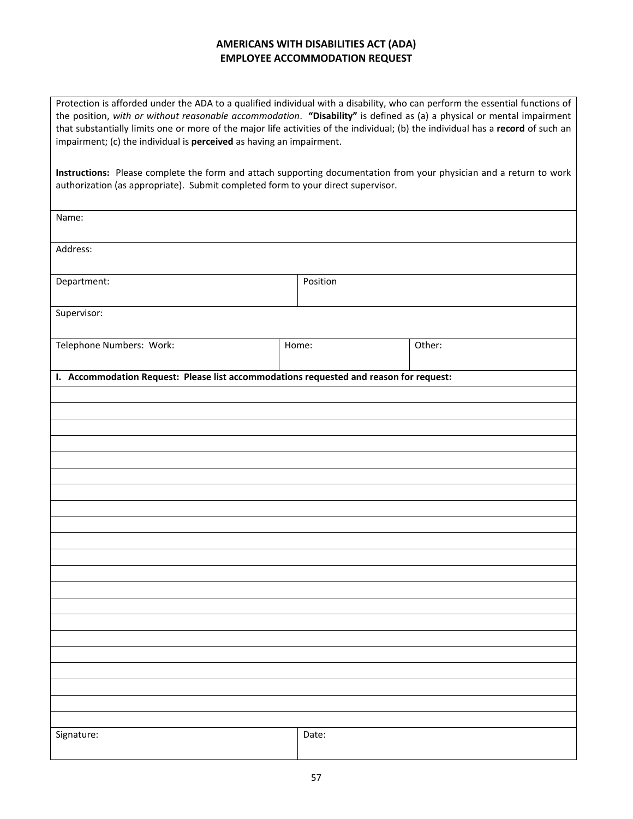# **AMERICANS WITH DISABILITIES ACT (ADA) EMPLOYEE ACCOMMODATION REQUEST**

Protection is afforded under the ADA to a qualified individual with a disability, who can perform the essential functions of the position, *with or without reasonable accommodation*. **"Disability"** is defined as (a) a physical or mental impairment that substantially limits one or more of the major life activities of the individual; (b) the individual has a **record** of such an impairment; (c) the individual is **perceived** as having an impairment.

**Instructions:** Please complete the form and attach supporting documentation from your physician and a return to work authorization (as appropriate). Submit completed form to your direct supervisor.

| Name:                                                                                  |          |        |  |
|----------------------------------------------------------------------------------------|----------|--------|--|
| Address:                                                                               |          |        |  |
| Department:                                                                            | Position |        |  |
| Supervisor:                                                                            |          |        |  |
| Telephone Numbers: Work:                                                               | Home:    | Other: |  |
| I. Accommodation Request: Please list accommodations requested and reason for request: |          |        |  |
|                                                                                        |          |        |  |
|                                                                                        |          |        |  |
|                                                                                        |          |        |  |
|                                                                                        |          |        |  |
|                                                                                        |          |        |  |
|                                                                                        |          |        |  |
|                                                                                        |          |        |  |
|                                                                                        |          |        |  |
|                                                                                        |          |        |  |
|                                                                                        |          |        |  |
|                                                                                        |          |        |  |
|                                                                                        |          |        |  |
|                                                                                        |          |        |  |
|                                                                                        |          |        |  |
|                                                                                        |          |        |  |
|                                                                                        |          |        |  |
|                                                                                        |          |        |  |
|                                                                                        |          |        |  |
| Signature:                                                                             | Date:    |        |  |
|                                                                                        |          |        |  |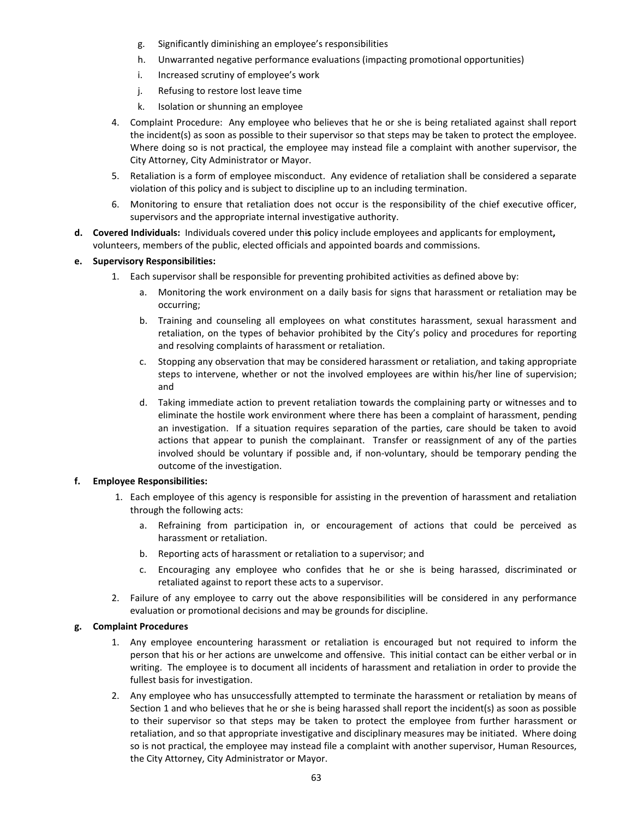- g. Significantly diminishing an employee's responsibilities
- h. Unwarranted negative performance evaluations (impacting promotional opportunities)
- i. Increased scrutiny of employee's work
- j. Refusing to restore lost leave time
- k. Isolation or shunning an employee
- 4. Complaint Procedure: Any employee who believes that he or she is being retaliated against shall report the incident(s) as soon as possible to their supervisor so that steps may be taken to protect the employee. Where doing so is not practical, the employee may instead file a complaint with another supervisor, the City Attorney, City Administrator or Mayor.
- 5. Retaliation is a form of employee misconduct. Any evidence of retaliation shall be considered a separate violation of this policy and is subject to discipline up to an including termination.
- 6. Monitoring to ensure that retaliation does not occur is the responsibility of the chief executive officer, supervisors and the appropriate internal investigative authority.
- **d. Covered Individuals:** Individuals covered under thi**s** policy include employees and applicants for employment**,** volunteers, members of the public, elected officials and appointed boards and commissions.

### **e. Supervisory Responsibilities:**

- 1. Each supervisor shall be responsible for preventing prohibited activities as defined above by:
	- a. Monitoring the work environment on a daily basis for signs that harassment or retaliation may be occurring;
	- b. Training and counseling all employees on what constitutes harassment, sexual harassment and retaliation, on the types of behavior prohibited by the City's policy and procedures for reporting and resolving complaints of harassment or retaliation.
	- c. Stopping any observation that may be considered harassment or retaliation, and taking appropriate steps to intervene, whether or not the involved employees are within his/her line of supervision; and
	- d. Taking immediate action to prevent retaliation towards the complaining party or witnesses and to eliminate the hostile work environment where there has been a complaint of harassment, pending an investigation. If a situation requires separation of the parties, care should be taken to avoid actions that appear to punish the complainant. Transfer or reassignment of any of the parties involved should be voluntary if possible and, if non-voluntary, should be temporary pending the outcome of the investigation.

### **f. Employee Responsibilities:**

- 1. Each employee of this agency is responsible for assisting in the prevention of harassment and retaliation through the following acts:
	- a. Refraining from participation in, or encouragement of actions that could be perceived as harassment or retaliation.
	- b. Reporting acts of harassment or retaliation to a supervisor; and
	- c. Encouraging any employee who confides that he or she is being harassed, discriminated or retaliated against to report these acts to a supervisor.
- 2. Failure of any employee to carry out the above responsibilities will be considered in any performance evaluation or promotional decisions and may be grounds for discipline.

### **g. Complaint Procedures**

- 1. Any employee encountering harassment or retaliation is encouraged but not required to inform the person that his or her actions are unwelcome and offensive. This initial contact can be either verbal or in writing. The employee is to document all incidents of harassment and retaliation in order to provide the fullest basis for investigation.
- 2. Any employee who has unsuccessfully attempted to terminate the harassment or retaliation by means of Section 1 and who believes that he or she is being harassed shall report the incident(s) as soon as possible to their supervisor so that steps may be taken to protect the employee from further harassment or retaliation, and so that appropriate investigative and disciplinary measures may be initiated. Where doing so is not practical, the employee may instead file a complaint with another supervisor, Human Resources, the City Attorney, City Administrator or Mayor.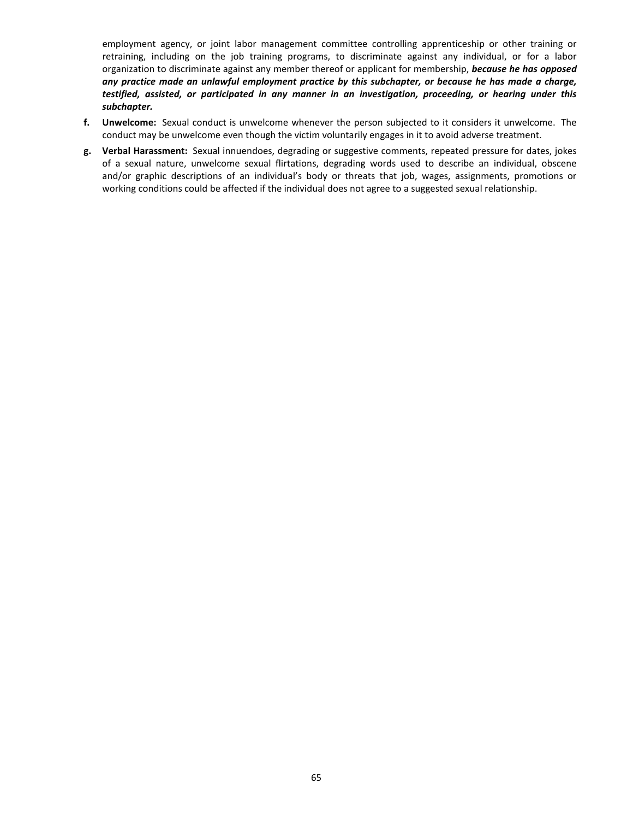employment agency, or joint labor management committee controlling apprenticeship or other training or retraining, including on the job training programs, to discriminate against any individual, or for a labor organization to discriminate against any member thereof or applicant for membership, *because he has opposed any practice made an unlawful employment practice by this subchapter, or because he has made a charge, testified, assisted, or participated in any manner in an investigation, proceeding, or hearing under this subchapter.*

- **f. Unwelcome:** Sexual conduct is unwelcome whenever the person subjected to it considers it unwelcome. The conduct may be unwelcome even though the victim voluntarily engages in it to avoid adverse treatment.
- **g. Verbal Harassment:** Sexual innuendoes, degrading or suggestive comments, repeated pressure for dates, jokes of a sexual nature, unwelcome sexual flirtations, degrading words used to describe an individual, obscene and/or graphic descriptions of an individual's body or threats that job, wages, assignments, promotions or working conditions could be affected if the individual does not agree to a suggested sexual relationship.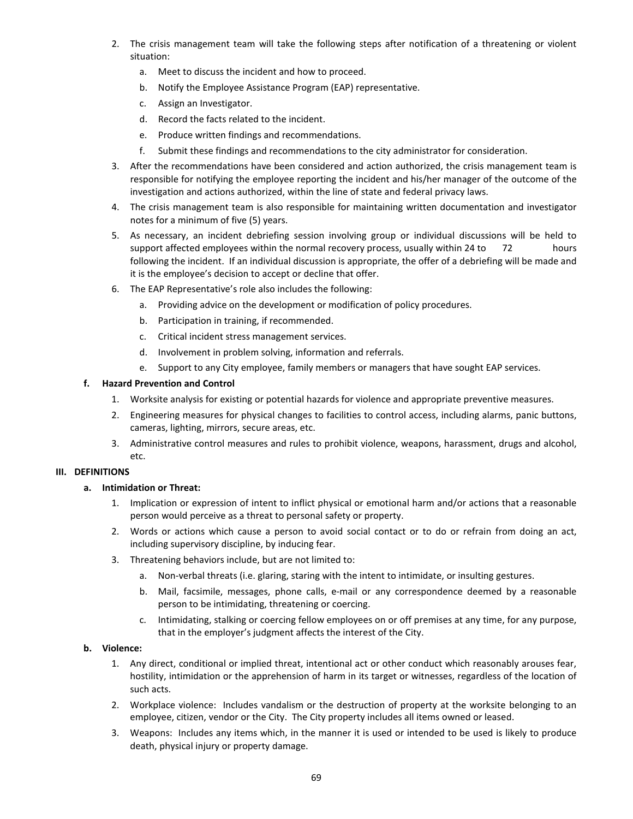- 2. The crisis management team will take the following steps after notification of a threatening or violent situation:
	- a. Meet to discuss the incident and how to proceed.
	- b. Notify the Employee Assistance Program (EAP) representative.
	- c. Assign an Investigator.
	- d. Record the facts related to the incident.
	- e. Produce written findings and recommendations.
	- f. Submit these findings and recommendations to the city administrator for consideration.
- 3. After the recommendations have been considered and action authorized, the crisis management team is responsible for notifying the employee reporting the incident and his/her manager of the outcome of the investigation and actions authorized, within the line of state and federal privacy laws.
- 4. The crisis management team is also responsible for maintaining written documentation and investigator notes for a minimum of five (5) years.
- 5. As necessary, an incident debriefing session involving group or individual discussions will be held to support affected employees within the normal recovery process, usually within 24 to 72 hours following the incident. If an individual discussion is appropriate, the offer of a debriefing will be made and it is the employee's decision to accept or decline that offer.
- 6. The EAP Representative's role also includes the following:
	- a. Providing advice on the development or modification of policy procedures.
	- b. Participation in training, if recommended.
	- c. Critical incident stress management services.
	- d. Involvement in problem solving, information and referrals.
	- e. Support to any City employee, family members or managers that have sought EAP services.

### **f. Hazard Prevention and Control**

- 1. Worksite analysis for existing or potential hazards for violence and appropriate preventive measures.
- 2. Engineering measures for physical changes to facilities to control access, including alarms, panic buttons, cameras, lighting, mirrors, secure areas, etc.
- 3. Administrative control measures and rules to prohibit violence, weapons, harassment, drugs and alcohol, etc.

## **III. DEFINITIONS**

### **a. Intimidation or Threat:**

- 1. Implication or expression of intent to inflict physical or emotional harm and/or actions that a reasonable person would perceive as a threat to personal safety or property.
- 2. Words or actions which cause a person to avoid social contact or to do or refrain from doing an act, including supervisory discipline, by inducing fear.
- 3. Threatening behaviors include, but are not limited to:
	- a. Non-verbal threats (i.e. glaring, staring with the intent to intimidate, or insulting gestures.
	- b. Mail, facsimile, messages, phone calls, e-mail or any correspondence deemed by a reasonable person to be intimidating, threatening or coercing.
	- c. Intimidating, stalking or coercing fellow employees on or off premises at any time, for any purpose, that in the employer's judgment affects the interest of the City.

## **b. Violence:**

- 1. Any direct, conditional or implied threat, intentional act or other conduct which reasonably arouses fear, hostility, intimidation or the apprehension of harm in its target or witnesses, regardless of the location of such acts.
- 2. Workplace violence: Includes vandalism or the destruction of property at the worksite belonging to an employee, citizen, vendor or the City. The City property includes all items owned or leased.
- 3. Weapons: Includes any items which, in the manner it is used or intended to be used is likely to produce death, physical injury or property damage.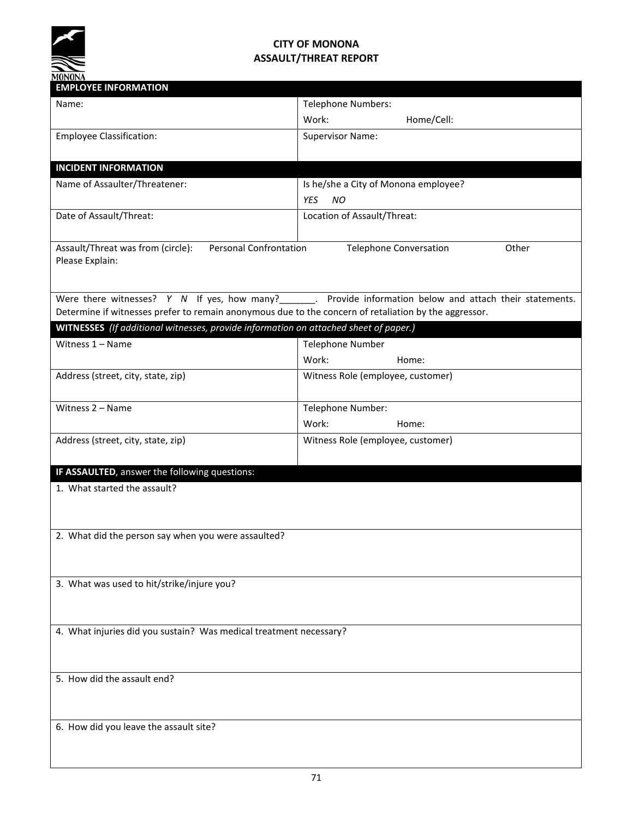

# **CITY OF MONONA ASSAULT/THREAT REPORT**

| <b>EMPLOYEE INFORMATION</b>                                                                           |                                                                                                              |
|-------------------------------------------------------------------------------------------------------|--------------------------------------------------------------------------------------------------------------|
| Name:                                                                                                 | <b>Telephone Numbers:</b>                                                                                    |
|                                                                                                       | Home/Cell:<br>Work:                                                                                          |
| <b>Employee Classification:</b>                                                                       | <b>Supervisor Name:</b>                                                                                      |
| <b>INCIDENT INFORMATION</b>                                                                           |                                                                                                              |
| Name of Assaulter/Threatener:                                                                         | Is he/she a City of Monona employee?                                                                         |
|                                                                                                       | <b>YES</b><br>NO                                                                                             |
| Date of Assault/Threat:                                                                               | Location of Assault/Threat:                                                                                  |
| Assault/Threat was from (circle):<br><b>Personal Confrontation</b><br>Please Explain:                 | Other<br><b>Telephone Conversation</b>                                                                       |
| Determine if witnesses prefer to remain anonymous due to the concern of retaliation by the aggressor. | Were there witnesses? $Y$ N If yes, how many?_______. Provide information below and attach their statements. |
| WITNESSES (If additional witnesses, provide information on attached sheet of paper.)                  |                                                                                                              |
| Witness $1 -$ Name                                                                                    | <b>Telephone Number</b>                                                                                      |
|                                                                                                       | Work:<br>Home:                                                                                               |
| Address (street, city, state, zip)                                                                    | Witness Role (employee, customer)                                                                            |
| Witness 2 - Name                                                                                      | Telephone Number:                                                                                            |
|                                                                                                       | Work:<br>Home:                                                                                               |
| Address (street, city, state, zip)                                                                    | Witness Role (employee, customer)                                                                            |
| IF ASSAULTED, answer the following questions:                                                         |                                                                                                              |
| 1. What started the assault?                                                                          |                                                                                                              |
| 2. What did the person say when you were assaulted?                                                   |                                                                                                              |
| 3. What was used to hit/strike/injure you?                                                            |                                                                                                              |
| 4. What injuries did you sustain? Was medical treatment necessary?                                    |                                                                                                              |
| 5. How did the assault end?                                                                           |                                                                                                              |
| 6. How did you leave the assault site?                                                                |                                                                                                              |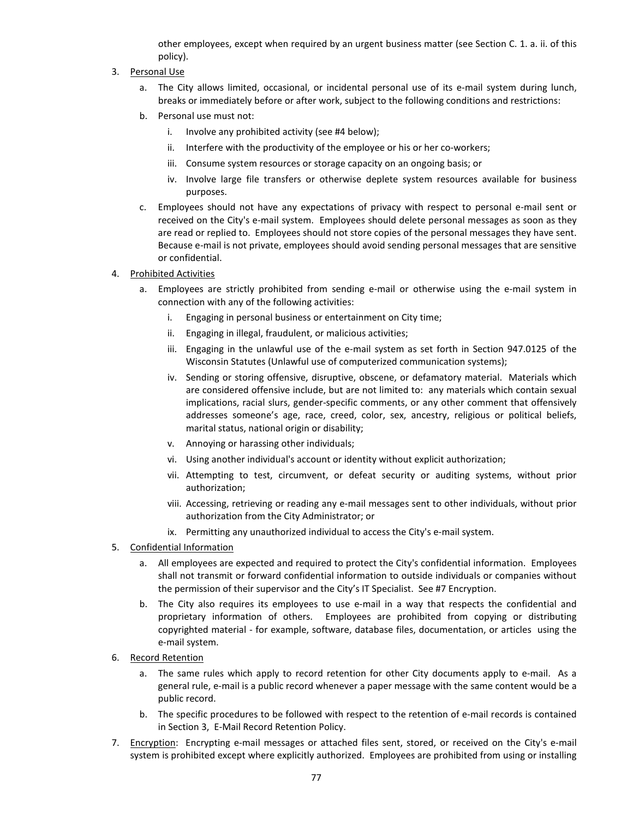other employees, except when required by an urgent business matter (see Section C. 1. a. ii. of this policy).

- 3. Personal Use
	- a. The City allows limited, occasional, or incidental personal use of its e-mail system during lunch, breaks or immediately before or after work, subject to the following conditions and restrictions:
	- b. Personal use must not:
		- i. Involve any prohibited activity (see #4 below);
		- ii. Interfere with the productivity of the employee or his or her co-workers;
		- iii. Consume system resources or storage capacity on an ongoing basis; or
		- iv. Involve large file transfers or otherwise deplete system resources available for business purposes.
	- c. Employees should not have any expectations of privacy with respect to personal e-mail sent or received on the City's e-mail system. Employees should delete personal messages as soon as they are read or replied to. Employees should not store copies of the personal messages they have sent. Because e-mail is not private, employees should avoid sending personal messages that are sensitive or confidential.
- 4. Prohibited Activities
	- a. Employees are strictly prohibited from sending e-mail or otherwise using the e-mail system in connection with any of the following activities:
		- i. Engaging in personal business or entertainment on City time;
		- ii. Engaging in illegal, fraudulent, or malicious activities;
		- iii. Engaging in the unlawful use of the e-mail system as set forth in Section 947.0125 of the Wisconsin Statutes (Unlawful use of computerized communication systems);
		- iv. Sending or storing offensive, disruptive, obscene, or defamatory material. Materials which are considered offensive include, but are not limited to: any materials which contain sexual implications, racial slurs, gender-specific comments, or any other comment that offensively addresses someone's age, race, creed, color, sex, ancestry, religious or political beliefs, marital status, national origin or disability;
		- v. Annoying or harassing other individuals;
		- vi. Using another individual's account or identity without explicit authorization;
		- vii. Attempting to test, circumvent, or defeat security or auditing systems, without prior authorization;
		- viii. Accessing, retrieving or reading any e-mail messages sent to other individuals, without prior authorization from the City Administrator; or
		- ix. Permitting any unauthorized individual to access the City's e-mail system.
- 5. Confidential Information
	- a. All employees are expected and required to protect the City's confidential information. Employees shall not transmit or forward confidential information to outside individuals or companies without the permission of their supervisor and the City's IT Specialist. See #7 Encryption.
	- b. The City also requires its employees to use e-mail in a way that respects the confidential and proprietary information of others. Employees are prohibited from copying or distributing copyrighted material - for example, software, database files, documentation, or articles using the e-mail system.
- 6. Record Retention
	- a. The same rules which apply to record retention for other City documents apply to e-mail. As a general rule, e-mail is a public record whenever a paper message with the same content would be a public record.
	- b. The specific procedures to be followed with respect to the retention of e-mail records is contained in Section 3, E-Mail Record Retention Policy.
- 7. Encryption: Encrypting e-mail messages or attached files sent, stored, or received on the City's e-mail system is prohibited except where explicitly authorized. Employees are prohibited from using or installing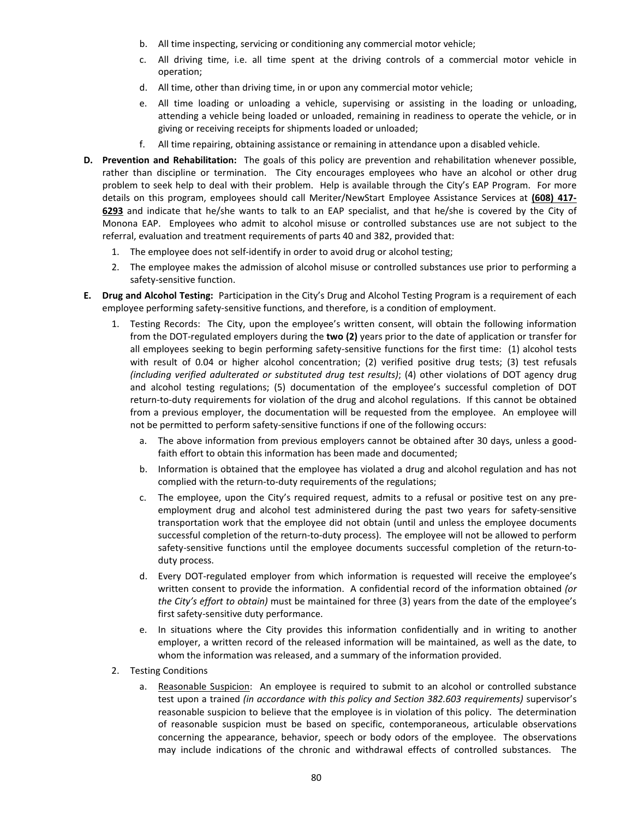- b. All time inspecting, servicing or conditioning any commercial motor vehicle;
- c. All driving time, i.e. all time spent at the driving controls of a commercial motor vehicle in operation;
- d. All time, other than driving time, in or upon any commercial motor vehicle;
- e. All time loading or unloading a vehicle, supervising or assisting in the loading or unloading, attending a vehicle being loaded or unloaded, remaining in readiness to operate the vehicle, or in giving or receiving receipts for shipments loaded or unloaded;
- f. All time repairing, obtaining assistance or remaining in attendance upon a disabled vehicle.
- **D. Prevention and Rehabilitation:** The goals of this policy are prevention and rehabilitation whenever possible, rather than discipline or termination. The City encourages employees who have an alcohol or other drug problem to seek help to deal with their problem. Help is available through the City's EAP program, provided by Heitzinger & Associates (www.eapheitzingerandassoc.com). Employees may call the **24/7 Helpline at 1-800-362-3902, ext. 1310** to speak to a specialist. Employees who admit to alcohol misuse or controlled substances use are not subject to the referral, evaluation and treatment requirements of parts 40 and 382, provided that:
	- 1. The employee does not self-identify in order to avoid drug or alcohol testing;
	- 2. The employee makes the admission of alcohol misuse or controlled substances use prior to performing a safety-sensitive function.
- **E. Drug and Alcohol Testing:** Participation in the City's Drug and Alcohol Testing Program is a requirement of each employee performing safety-sensitive functions, and therefore, is a condition of employment.
	- 1. Testing Records: The City, upon the employee's written consent, will obtain the following information from the DOT-regulated employers during the **two (2)** years prior to the date of application or transfer for all employees seeking to begin performing safety-sensitive functions for the first time: (1) alcohol tests with result of 0.04 or higher alcohol concentration; (2) verified positive drug tests; (3) test refusals *(including verified adulterated or substituted drug test results)*; (4) other violations of DOT agency drug and alcohol testing regulations; (5) documentation of the employee's successful completion of DOT return-to-duty requirements for violation of the drug and alcohol regulations. If this cannot be obtained from a previous employer, the documentation will be requested from the employee. An employee will not be permitted to perform safety-sensitive functions if one of the following occurs:
		- a. The above information from previous employers cannot be obtained after 30 days, unless a goodfaith effort to obtain this information has been made and documented;
		- b. Information is obtained that the employee has violated a drug and alcohol regulation and has not complied with the return-to-duty requirements of the regulations;
		- c. The employee, upon the City's required request, admits to a refusal or positive test on any preemployment drug and alcohol test administered during the past two years for safety-sensitive transportation work that the employee did not obtain (until and unless the employee documents successful completion of the return-to-duty process). The employee will not be allowed to perform safety-sensitive functions until the employee documents successful completion of the return-toduty process.
		- d. Every DOT-regulated employer from which information is requested will receive the employee's written consent to provide the information. A confidential record of the information obtained *(or the City's effort to obtain)* must be maintained for three (3) years from the date of the employee's first safety-sensitive duty performance.
		- e. In situations where the City provides this information confidentially and in writing to another employer, a written record of the released information will be maintained, as well as the date, to whom the information was released, and a summary of the information provided.
	- 2. Testing Conditions
		- a. Reasonable Suspicion:An employee is required to submit to an alcohol or controlled substance test upon a trained *(in accordance with this policy and Section 382.603 requirements)* supervisor's reasonable suspicion to believe that the employee is in violation of this policy. The determination of reasonable suspicion must be based on specific, contemporaneous, articulable observations concerning the appearance, behavior, speech or body odors of the employee. The observations may include indications of the chronic and withdrawal effects of controlled substances. The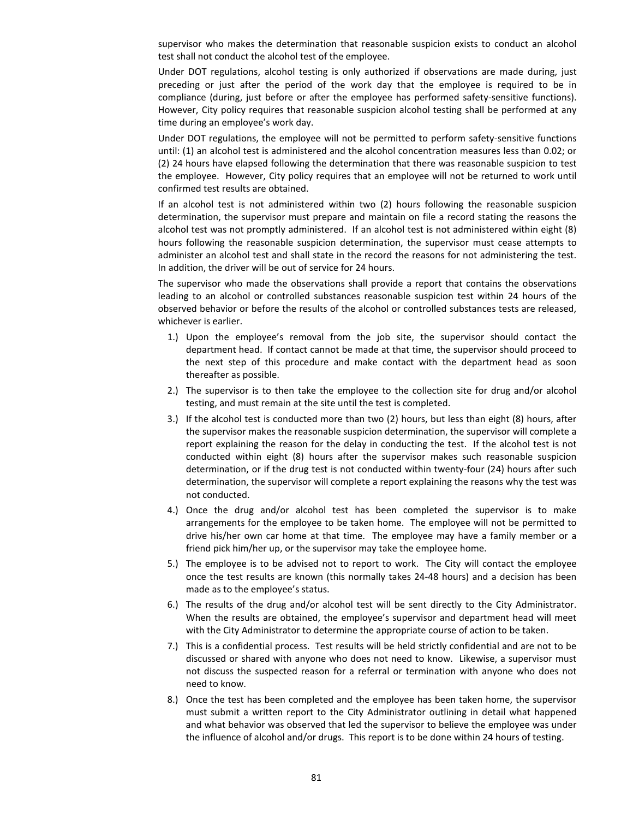supervisor who makes the determination that reasonable suspicion exists to conduct an alcohol test shall not conduct the alcohol test of the employee.

Under DOT regulations, alcohol testing is only authorized if observations are made during, just preceding or just after the period of the work day that the employee is required to be in compliance (during, just before or after the employee has performed safety-sensitive functions). However, City policy requires that reasonable suspicion alcohol testing shall be performed at any time during an employee's work day.

Under DOT regulations, the employee will not be permitted to perform safety-sensitive functions until: (1) an alcohol test is administered and the alcohol concentration measures less than 0.02; or (2) 24 hours have elapsed following the determination that there was reasonable suspicion to test the employee. However, City policy requires that an employee will not be returned to work until confirmed test results are obtained.

If an alcohol test is not administered within two (2) hours following the reasonable suspicion determination, the supervisor must prepare and maintain on file a record stating the reasons the alcohol test was not promptly administered. If an alcohol test is not administered within eight (8) hours following the reasonable suspicion determination, the supervisor must cease attempts to administer an alcohol test and shall state in the record the reasons for not administering the test. In addition, the driver will be out of service for 24 hours.

The supervisor who made the observations shall provide a report that contains the observations leading to an alcohol or controlled substances reasonable suspicion test within 24 hours of the observed behavior or before the results of the alcohol or controlled substances tests are released, whichever is earlier.

- 1.) Upon the employee's removal from the job site, the supervisor should contact the department head. If contact cannot be made at that time, the supervisor should proceed to the next step of this procedure and make contact with the department head as soon thereafter as possible.
- 2.) The supervisor is to then take the employee to the collection site for drug and/or alcohol testing, and must remain at the site until the test is completed.
- 3.) If the alcohol test is conducted more than two (2) hours, but less than eight (8) hours, after the supervisor makes the reasonable suspicion determination, the supervisor will complete a report explaining the reason for the delay in conducting the test. If the alcohol test is not conducted within eight (8) hours after the supervisor makes such reasonable suspicion determination, or if the drug test is not conducted within twenty-four (24) hours after such determination, the supervisor will complete a report explaining the reasons why the test was not conducted.
- 4.) Once the drug and/or alcohol test has been completed the supervisor is to make arrangements for the employee to be taken home. The employee will not be permitted to drive his/her own car home at that time. The employee may have a family member or a friend pick him/her up, or the supervisor may take the employee home.
- 5.) The employee is to be advised not to report to work. The City will contact the employee once the test results are known (this normally takes 24-48 hours) and a decision has been made as to the employee's status.
- 6.) The results of the drug and/or alcohol test will be sent directly to the City Administrator. When the results are obtained, the employee's supervisor and department head will meet with the City Administrator to determine the appropriate course of action to be taken.
- 7.) This is a confidential process. Test results will be held strictly confidential and are not to be discussed or shared with anyone who does not need to know. Likewise, a supervisor must not discuss the suspected reason for a referral or termination with anyone who does not need to know.
- 8.) Once the test has been completed and the employee has been taken home, the supervisor must submit a written report to the City Administrator outlining in detail what happened and what behavior was observed that led the supervisor to believe the employee was under the influence of alcohol and/or drugs. This report is to be done within 24 hours of testing.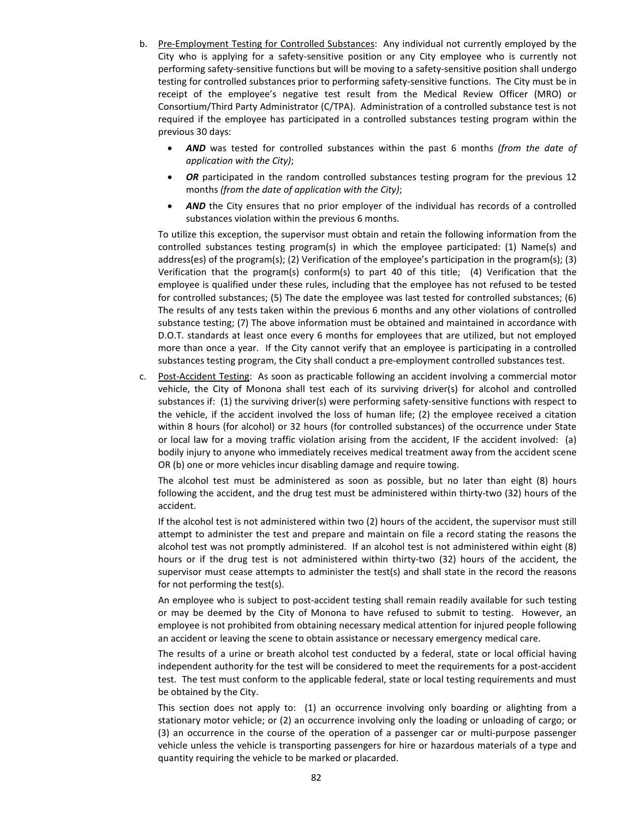- b. Pre-Employment Testing for Controlled Substances: Any individual not currently employed by the City who is applying for a safety-sensitive position or any City employee who is currently not performing safety-sensitive functions but will be moving to a safety-sensitive position shall undergo testing for controlled substances prior to performing safety-sensitive functions. The City must be in receipt of the employee's negative test result from the Medical Review Officer (MRO) or Consortium/Third Party Administrator (C/TPA). Administration of a controlled substance test is not required if the employee has participated in a controlled substances testing program within the previous 30 days:
	- *AND* was tested for controlled substances within the past 6 months *(from the date of application with the City)*;
	- **OR** participated in the random controlled substances testing program for the previous 12 months *(from the date of application with the City)*;
	- AND the City ensures that no prior employer of the individual has records of a controlled substances violation within the previous 6 months.

To utilize this exception, the supervisor must obtain and retain the following information from the controlled substances testing program(s) in which the employee participated: (1) Name(s) and address(es) of the program(s); (2) Verification of the employee's participation in the program(s); (3) Verification that the program(s) conform(s) to part 40 of this title; (4) Verification that the employee is qualified under these rules, including that the employee has not refused to be tested for controlled substances; (5) The date the employee was last tested for controlled substances; (6) The results of any tests taken within the previous 6 months and any other violations of controlled substance testing; (7) The above information must be obtained and maintained in accordance with D.O.T. standards at least once every 6 months for employees that are utilized, but not employed more than once a year. If the City cannot verify that an employee is participating in a controlled substances testing program, the City shall conduct a pre-employment controlled substances test.

c. Post-Accident Testing: As soon as practicable following an accident involving a commercial motor vehicle, the City of Monona shall test each of its surviving driver(s) for alcohol and controlled substances if: (1) the surviving driver(s) were performing safety-sensitive functions with respect to the vehicle, if the accident involved the loss of human life; (2) the employee received a citation within 8 hours (for alcohol) or 32 hours (for controlled substances) of the occurrence under State or local law for a moving traffic violation arising from the accident, IF the accident involved: (a) bodily injury to anyone who immediately receives medical treatment away from the accident scene OR (b) one or more vehicles incur disabling damage and require towing.

The alcohol test must be administered as soon as possible, but no later than eight (8) hours following the accident, and the drug test must be administered within thirty-two (32) hours of the accident.

If the alcohol test is not administered within two (2) hours of the accident, the supervisor must still attempt to administer the test and prepare and maintain on file a record stating the reasons the alcohol test was not promptly administered. If an alcohol test is not administered within eight (8) hours or if the drug test is not administered within thirty-two (32) hours of the accident, the supervisor must cease attempts to administer the test(s) and shall state in the record the reasons for not performing the test(s).

An employee who is subject to post-accident testing shall remain readily available for such testing or may be deemed by the City of Monona to have refused to submit to testing. However, an employee is not prohibited from obtaining necessary medical attention for injured people following an accident or leaving the scene to obtain assistance or necessary emergency medical care.

The results of a urine or breath alcohol test conducted by a federal, state or local official having independent authority for the test will be considered to meet the requirements for a post-accident test. The test must conform to the applicable federal, state or local testing requirements and must be obtained by the City.

This section does not apply to: (1) an occurrence involving only boarding or alighting from a stationary motor vehicle; or (2) an occurrence involving only the loading or unloading of cargo; or (3) an occurrence in the course of the operation of a passenger car or multi-purpose passenger vehicle unless the vehicle is transporting passengers for hire or hazardous materials of a type and quantity requiring the vehicle to be marked or placarded.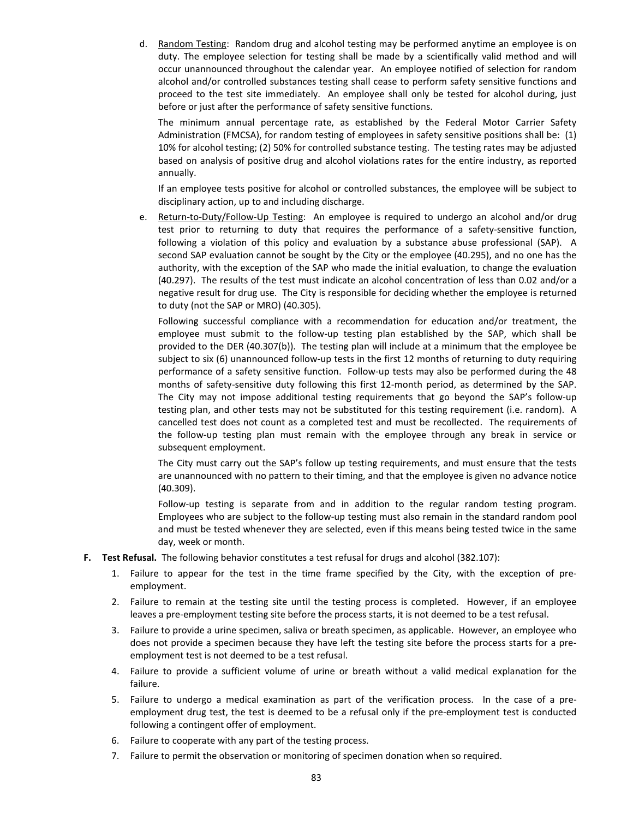d. Random Testing: Random drug and alcohol testing may be performed anytime an employee is on duty. The employee selection for testing shall be made by a scientifically valid method and will occur unannounced throughout the calendar year. An employee notified of selection for random alcohol and/or controlled substances testing shall cease to perform safety sensitive functions and proceed to the test site immediately. An employee shall only be tested for alcohol during, just before or just after the performance of safety sensitive functions.

The minimum annual percentage rate, as established by the Federal Motor Carrier Safety Administration (FMCSA), for random testing of employees in safety sensitive positions shall be: (1) 10% for alcohol testing; (2) 50% for controlled substance testing. The testing rates may be adjusted based on analysis of positive drug and alcohol violations rates for the entire industry, as reported annually.

If an employee tests positive for alcohol or controlled substances, the employee will be subject to disciplinary action, up to and including discharge.

e. Return-to-Duty/Follow-Up Testing: An employee is required to undergo an alcohol and/or drug test prior to returning to duty that requires the performance of a safety-sensitive function, following a violation of this policy and evaluation by a substance abuse professional (SAP). A second SAP evaluation cannot be sought by the City or the employee (40.295), and no one has the authority, with the exception of the SAP who made the initial evaluation, to change the evaluation (40.297). The results of the test must indicate an alcohol concentration of less than 0.02 and/or a negative result for drug use. The City is responsible for deciding whether the employee is returned to duty (not the SAP or MRO) (40.305).

Following successful compliance with a recommendation for education and/or treatment, the employee must submit to the follow-up testing plan established by the SAP, which shall be provided to the DER (40.307(b)). The testing plan will include at a minimum that the employee be subject to six (6) unannounced follow-up tests in the first 12 months of returning to duty requiring performance of a safety sensitive function. Follow-up tests may also be performed during the 48 months of safety-sensitive duty following this first 12-month period, as determined by the SAP. The City may not impose additional testing requirements that go beyond the SAP's follow-up testing plan, and other tests may not be substituted for this testing requirement (i.e. random). A cancelled test does not count as a completed test and must be recollected. The requirements of the follow-up testing plan must remain with the employee through any break in service or subsequent employment.

The City must carry out the SAP's follow up testing requirements, and must ensure that the tests are unannounced with no pattern to their timing, and that the employee is given no advance notice (40.309).

Follow-up testing is separate from and in addition to the regular random testing program. Employees who are subject to the follow-up testing must also remain in the standard random pool and must be tested whenever they are selected, even if this means being tested twice in the same day, week or month.

- **F. Test Refusal.** The following behavior constitutes a test refusal for drugs and alcohol (382.107):
	- 1. Failure to appear for the test in the time frame specified by the City, with the exception of preemployment.
	- 2. Failure to remain at the testing site until the testing process is completed. However, if an employee leaves a pre-employment testing site before the process starts, it is not deemed to be a test refusal.
	- 3. Failure to provide a urine specimen, saliva or breath specimen, as applicable. However, an employee who does not provide a specimen because they have left the testing site before the process starts for a preemployment test is not deemed to be a test refusal.
	- 4. Failure to provide a sufficient volume of urine or breath without a valid medical explanation for the failure.
	- 5. Failure to undergo a medical examination as part of the verification process. In the case of a preemployment drug test, the test is deemed to be a refusal only if the pre-employment test is conducted following a contingent offer of employment.
	- 6. Failure to cooperate with any part of the testing process.
	- 7. Failure to permit the observation or monitoring of specimen donation when so required.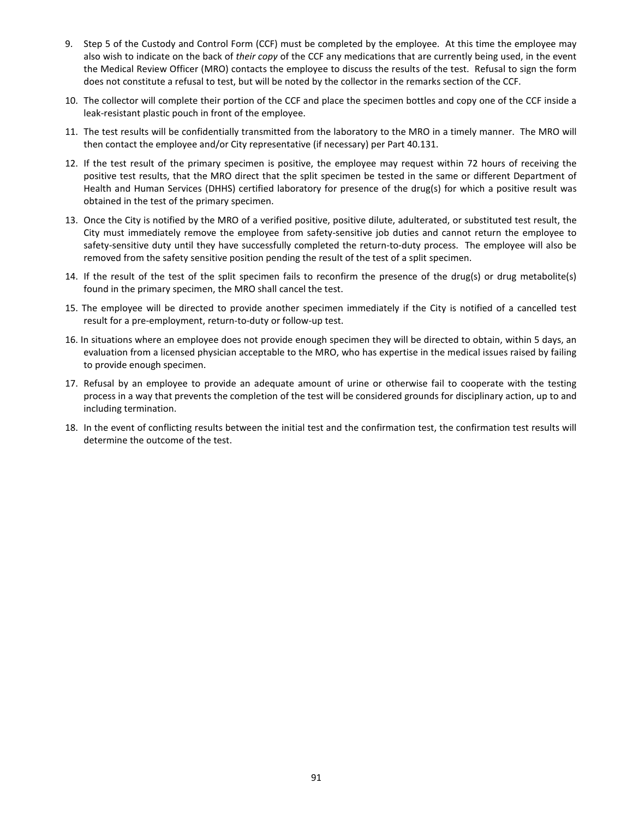- 9. Step 5 of the Custody and Control Form (CCF) must be completed by the employee. At this time the employee may also wish to indicate on the back of *their copy* of the CCF any medications that are currently being used, in the event the Medical Review Officer (MRO) contacts the employee to discuss the results of the test. Refusal to sign the form does not constitute a refusal to test, but will be noted by the collector in the remarks section of the CCF.
- 10. The collector will complete their portion of the CCF and place the specimen bottles and copy one of the CCF inside a leak-resistant plastic pouch in front of the employee.
- 11. The test results will be confidentially transmitted from the laboratory to the MRO in a timely manner. The MRO will then contact the employee and/or City representative (if necessary) per Part 40.131.
- 12. If the test result of the primary specimen is positive, the employee may request within 72 hours of receiving the positive test results, that the MRO direct that the split specimen be tested in the same or different Department of Health and Human Services (DHHS) certified laboratory for presence of the drug(s) for which a positive result was obtained in the test of the primary specimen.
- 13. Once the City is notified by the MRO of a verified positive, positive dilute, adulterated, or substituted test result, the City must immediately remove the employee from safety-sensitive job duties and cannot return the employee to safety-sensitive duty until they have successfully completed the return-to-duty process. The employee will also be removed from the safety sensitive position pending the result of the test of a split specimen.
- 14. If the result of the test of the split specimen fails to reconfirm the presence of the drug(s) or drug metabolite(s) found in the primary specimen, the MRO shall cancel the test.
- 15. The employee will be directed to provide another specimen immediately if the City is notified of a cancelled test result for a pre-employment, return-to-duty or follow-up test.
- 16. In situations where an employee does not provide enough specimen they will be directed to obtain, within 5 days, an evaluation from a licensed physician acceptable to the MRO, who has expertise in the medical issues raised by failing to provide enough specimen.
- 17. Refusal by an employee to provide an adequate amount of urine or otherwise fail to cooperate with the testing process in a way that prevents the completion of the test will be considered grounds for disciplinary action, up to and including termination.
- 18. In the event of conflicting results between the initial test and the confirmation test, the confirmation test results will determine the outcome of the test.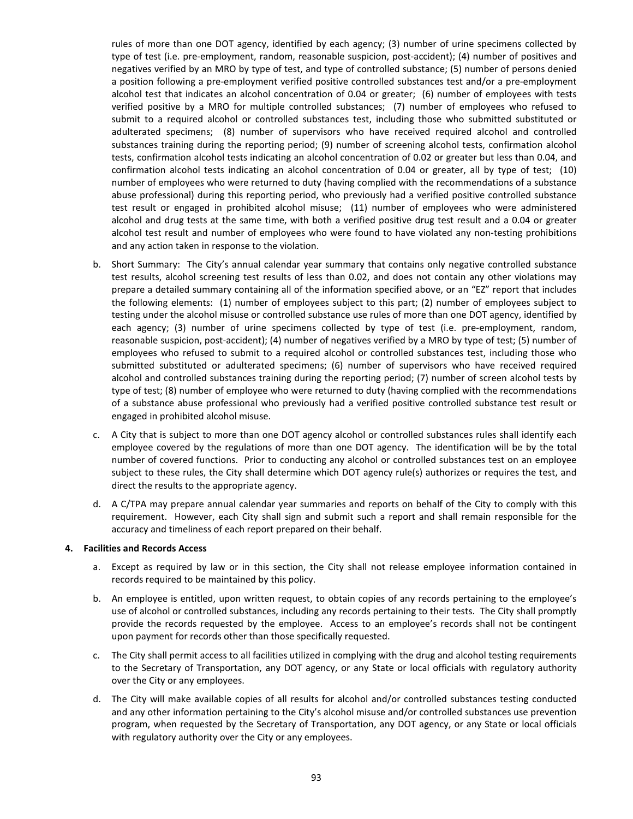rules of more than one DOT agency, identified by each agency; (3) number of urine specimens collected by type of test (i.e. pre-employment, random, reasonable suspicion, post-accident); (4) number of positives and negatives verified by an MRO by type of test, and type of controlled substance; (5) number of persons denied a position following a pre-employment verified positive controlled substances test and/or a pre-employment alcohol test that indicates an alcohol concentration of 0.04 or greater; (6) number of employees with tests verified positive by a MRO for multiple controlled substances; (7) number of employees who refused to submit to a required alcohol or controlled substances test, including those who submitted substituted or adulterated specimens; (8) number of supervisors who have received required alcohol and controlled substances training during the reporting period; (9) number of screening alcohol tests, confirmation alcohol tests, confirmation alcohol tests indicating an alcohol concentration of 0.02 or greater but less than 0.04, and confirmation alcohol tests indicating an alcohol concentration of 0.04 or greater, all by type of test; (10) number of employees who were returned to duty (having complied with the recommendations of a substance abuse professional) during this reporting period, who previously had a verified positive controlled substance test result or engaged in prohibited alcohol misuse; (11) number of employees who were administered alcohol and drug tests at the same time, with both a verified positive drug test result and a 0.04 or greater alcohol test result and number of employees who were found to have violated any non-testing prohibitions and any action taken in response to the violation.

- b. Short Summary: The City's annual calendar year summary that contains only negative controlled substance test results, alcohol screening test results of less than 0.02, and does not contain any other violations may prepare a detailed summary containing all of the information specified above, or an "EZ" report that includes the following elements: (1) number of employees subject to this part; (2) number of employees subject to testing under the alcohol misuse or controlled substance use rules of more than one DOT agency, identified by each agency; (3) number of urine specimens collected by type of test (i.e. pre-employment, random, reasonable suspicion, post-accident); (4) number of negatives verified by a MRO by type of test; (5) number of employees who refused to submit to a required alcohol or controlled substances test, including those who submitted substituted or adulterated specimens; (6) number of supervisors who have received required alcohol and controlled substances training during the reporting period; (7) number of screen alcohol tests by type of test; (8) number of employee who were returned to duty (having complied with the recommendations of a substance abuse professional who previously had a verified positive controlled substance test result or engaged in prohibited alcohol misuse.
- c. A City that is subject to more than one DOT agency alcohol or controlled substances rules shall identify each employee covered by the regulations of more than one DOT agency. The identification will be by the total number of covered functions. Prior to conducting any alcohol or controlled substances test on an employee subject to these rules, the City shall determine which DOT agency rule(s) authorizes or requires the test, and direct the results to the appropriate agency.
- d. A C/TPA may prepare annual calendar year summaries and reports on behalf of the City to comply with this requirement. However, each City shall sign and submit such a report and shall remain responsible for the accuracy and timeliness of each report prepared on their behalf.

## **4. Facilities and Records Access**

- a. Except as required by law or in this section, the City shall not release employee information contained in records required to be maintained by this policy.
- b. An employee is entitled, upon written request, to obtain copies of any records pertaining to the employee's use of alcohol or controlled substances, including any records pertaining to their tests. The City shall promptly provide the records requested by the employee. Access to an employee's records shall not be contingent upon payment for records other than those specifically requested.
- c. The City shall permit access to all facilities utilized in complying with the drug and alcohol testing requirements to the Secretary of Transportation, any DOT agency, or any State or local officials with regulatory authority over the City or any employees.
- d. The City will make available copies of all results for alcohol and/or controlled substances testing conducted and any other information pertaining to the City's alcohol misuse and/or controlled substances use prevention program, when requested by the Secretary of Transportation, any DOT agency, or any State or local officials with regulatory authority over the City or any employees.